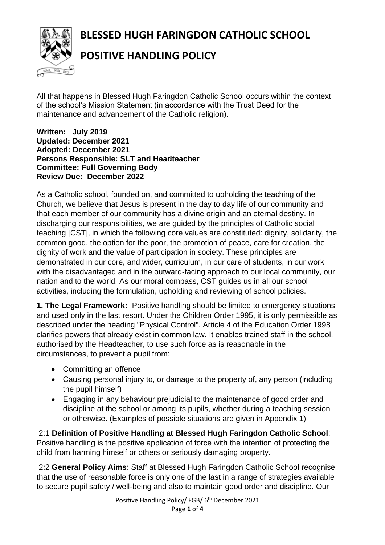**BLESSED HUGH FARINGDON CATHOLIC SCHOOL**



## **POSITIVE HANDLING POLICY**

All that happens in Blessed Hugh Faringdon Catholic School occurs within the context of the school's Mission Statement (in accordance with the Trust Deed for the maintenance and advancement of the Catholic religion).

## **Written: July 2019 Updated: December 2021 Adopted: December 2021 Persons Responsible: SLT and Headteacher Committee: Full Governing Body Review Due: December 2022**

As a Catholic school, founded on, and committed to upholding the teaching of the Church, we believe that Jesus is present in the day to day life of our community and that each member of our community has a divine origin and an eternal destiny. In discharging our responsibilities, we are guided by the principles of Catholic social teaching [CST], in which the following core values are constituted: dignity, solidarity, the common good, the option for the poor, the promotion of peace, care for creation, the dignity of work and the value of participation in society. These principles are demonstrated in our core, and wider, curriculum, in our care of students, in our work with the disadvantaged and in the outward-facing approach to our local community, our nation and to the world. As our moral compass, CST guides us in all our school activities, including the formulation, upholding and reviewing of school policies.

**1. The Legal Framework:** Positive handling should be limited to emergency situations and used only in the last resort. Under the Children Order 1995, it is only permissible as described under the heading "Physical Control". Article 4 of the Education Order 1998 clarifies powers that already exist in common law. It enables trained staff in the school, authorised by the Headteacher, to use such force as is reasonable in the circumstances, to prevent a pupil from:

- Committing an offence
- Causing personal injury to, or damage to the property of, any person (including the pupil himself)
- Engaging in any behaviour prejudicial to the maintenance of good order and discipline at the school or among its pupils, whether during a teaching session or otherwise. (Examples of possible situations are given in Appendix 1)

2:1 **Definition of Positive Handling at Blessed Hugh Faringdon Catholic School**: Positive handling is the positive application of force with the intention of protecting the child from harming himself or others or seriously damaging property.

2:2 **General Policy Aims**: Staff at Blessed Hugh Faringdon Catholic School recognise that the use of reasonable force is only one of the last in a range of strategies available to secure pupil safety / well-being and also to maintain good order and discipline. Our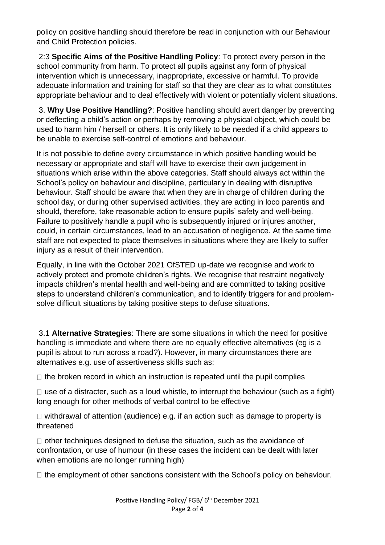policy on positive handling should therefore be read in conjunction with our Behaviour and Child Protection policies.

2:3 **Specific Aims of the Positive Handling Policy**: To protect every person in the school community from harm. To protect all pupils against any form of physical intervention which is unnecessary, inappropriate, excessive or harmful. To provide adequate information and training for staff so that they are clear as to what constitutes appropriate behaviour and to deal effectively with violent or potentially violent situations.

3. **Why Use Positive Handling?**: Positive handling should avert danger by preventing or deflecting a child's action or perhaps by removing a physical object, which could be used to harm him / herself or others. It is only likely to be needed if a child appears to be unable to exercise self-control of emotions and behaviour.

It is not possible to define every circumstance in which positive handling would be necessary or appropriate and staff will have to exercise their own judgement in situations which arise within the above categories. Staff should always act within the School's policy on behaviour and discipline, particularly in dealing with disruptive behaviour. Staff should be aware that when they are in charge of children during the school day, or during other supervised activities, they are acting in loco parentis and should, therefore, take reasonable action to ensure pupils' safety and well-being. Failure to positively handle a pupil who is subsequently injured or injures another, could, in certain circumstances, lead to an accusation of negligence. At the same time staff are not expected to place themselves in situations where they are likely to suffer injury as a result of their intervention.

Equally, in line with the October 2021 OfSTED up-date we recognise and work to actively protect and promote children's rights. We recognise that restraint negatively impacts children's mental health and well-being and are committed to taking positive steps to understand children's communication, and to identify triggers for and problemsolve difficult situations by taking positive steps to defuse situations.

3.1 **Alternative Strategies**: There are some situations in which the need for positive handling is immediate and where there are no equally effective alternatives (eg is a pupil is about to run across a road?). However, in many circumstances there are alternatives e.g. use of assertiveness skills such as:

 $\Box$  the broken record in which an instruction is repeated until the pupil complies

 $\Box$  use of a distracter, such as a loud whistle, to interrupt the behaviour (such as a fight) long enough for other methods of verbal control to be effective

 $\Box$  withdrawal of attention (audience) e.g. if an action such as damage to property is threatened

 $\Box$  other techniques designed to defuse the situation, such as the avoidance of confrontation, or use of humour (in these cases the incident can be dealt with later when emotions are no longer running high)

 $\Box$  the employment of other sanctions consistent with the School's policy on behaviour.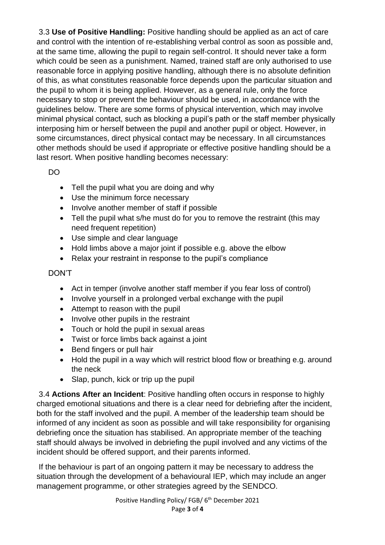3.3 **Use of Positive Handling:** Positive handling should be applied as an act of care and control with the intention of re-establishing verbal control as soon as possible and, at the same time, allowing the pupil to regain self-control. It should never take a form which could be seen as a punishment. Named, trained staff are only authorised to use reasonable force in applying positive handling, although there is no absolute definition of this, as what constitutes reasonable force depends upon the particular situation and the pupil to whom it is being applied. However, as a general rule, only the force necessary to stop or prevent the behaviour should be used, in accordance with the guidelines below. There are some forms of physical intervention, which may involve minimal physical contact, such as blocking a pupil's path or the staff member physically interposing him or herself between the pupil and another pupil or object. However, in some circumstances, direct physical contact may be necessary. In all circumstances other methods should be used if appropriate or effective positive handling should be a last resort. When positive handling becomes necessary:

DO

- Tell the pupil what you are doing and why
- Use the minimum force necessary
- Involve another member of staff if possible
- Tell the pupil what s/he must do for you to remove the restraint (this may need frequent repetition)
- Use simple and clear language
- Hold limbs above a major joint if possible e.g. above the elbow
- Relax your restraint in response to the pupil's compliance

DON'T

- Act in temper (involve another staff member if you fear loss of control)
- Involve yourself in a prolonged verbal exchange with the pupil
- Attempt to reason with the pupil
- Involve other pupils in the restraint
- Touch or hold the pupil in sexual areas
- Twist or force limbs back against a joint
- Bend fingers or pull hair
- Hold the pupil in a way which will restrict blood flow or breathing e.g. around the neck
- Slap, punch, kick or trip up the pupil

3.4 **Actions After an Incident**: Positive handling often occurs in response to highly charged emotional situations and there is a clear need for debriefing after the incident, both for the staff involved and the pupil. A member of the leadership team should be informed of any incident as soon as possible and will take responsibility for organising debriefing once the situation has stabilised. An appropriate member of the teaching staff should always be involved in debriefing the pupil involved and any victims of the incident should be offered support, and their parents informed.

If the behaviour is part of an ongoing pattern it may be necessary to address the situation through the development of a behavioural IEP, which may include an anger management programme, or other strategies agreed by the SENDCO.